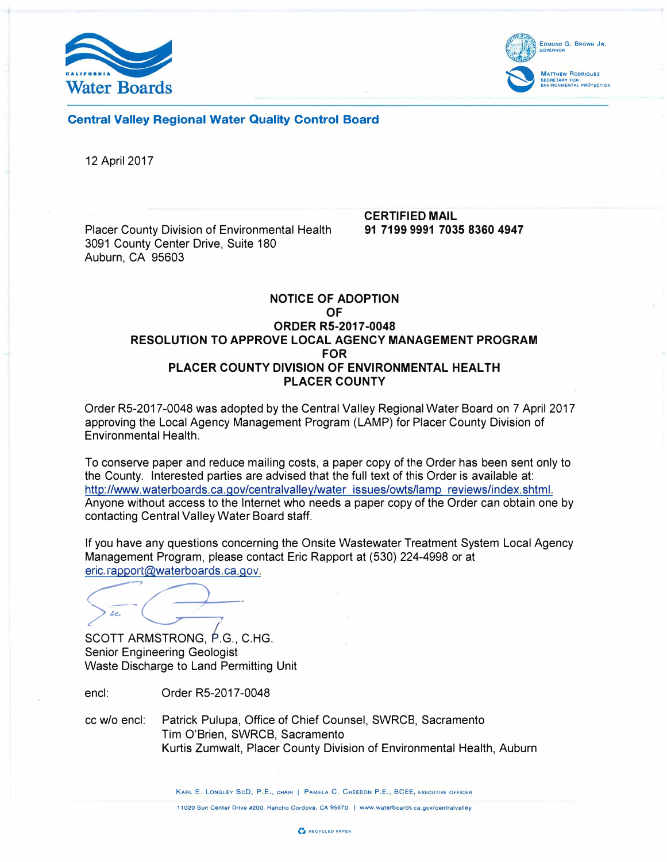



Central Valley Regional Water Quality Control Board

12 April 2017

Placer County Division of Environmental Health 3091 County Center Drive, Suite 180 Auburn, CA 95603

CERTIFIED MAIL 91 7199 9991 7035 8360 4947

### NOTICE OF ADOPTION OF ORDER RS-2017-0048 RESOLUTION TO APPROVE LOCAL AGENCY MANAGEMENT PROGRAM FOR PLACER COUNTY DIVISION OF ENVIRONMENTAL HEALTH PLACER COUNTY

Order R5-2017-0048 was adopted by the Central Valley Regional Water Board on 7 April 2017 approving the Local Agency Management Program (LAMP) for Placer County Division of Environmental Health.

To conserve paper and reduce mailing costs, a paper copy of the Order has been sent only to the County. Interested parties are advised that the full text of this Order is available at: http://www.waterboards.ca.gov/centralvalley/water issues/owts/lamp reviews/index.shtml. Anyone without access to the Internet who needs a paper copy of the Order can obtain one by contacting Central Valley Water Board staff.

If you have any questions concerning the Onsite Wastewater Treatment System Local Agency Management Program, please contact Eric Rapport at (530) 224-4998 or at eric. rapport@waterboards.ca.gov.

 $\leftarrow$   $\leftarrow$ *;>���* 

SCOTT ARMSTRONG, *t.G.,* C.HG. Senior Engineering Geologist Waste Discharge to Land Permitting Unit

encl: Order R5-2017-0048

cc w/o encl: Patrick Pulupa, Office of Chief Counsel, SWRCB, Sacramento Tim O'Brien, SWRCB, Sacramento Kurtis Zumwalt, Placer County Division of Environmental Health, Auburn

KARL E. LONGLEY SCD, P.E., CHAIR | PAMELA C. CREEDON P.E., BCEE, EXECUTIVE OFFICER

11020 Sun Center Drive #200, Rancho Cordova, CA 95670 I www.waterboards.ca.gov/centralvalley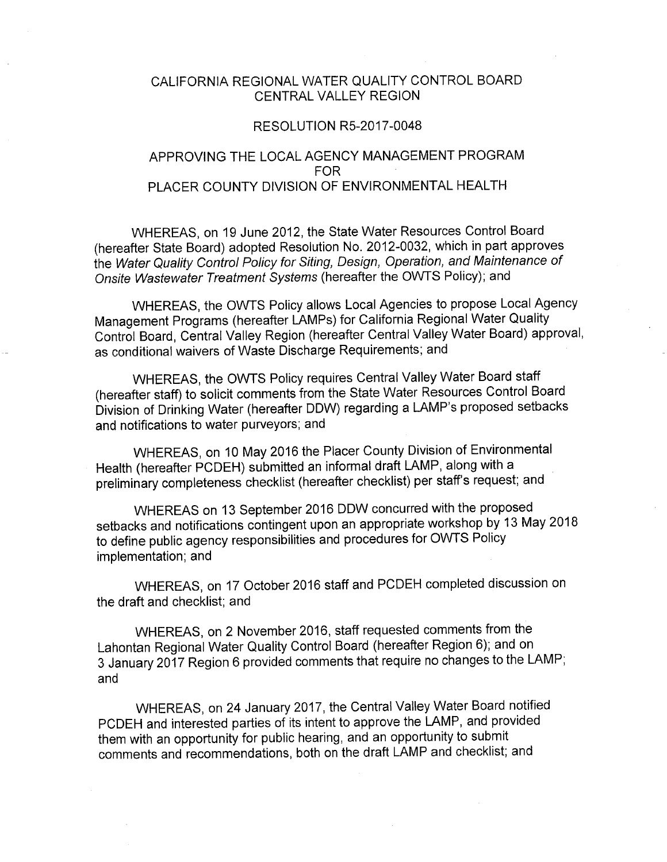# CALIFORNIA REGIONAL WATER QUALITY CONTROL BOARD CENTRAL VALLEY REGION

#### **RESOLUTION R5-2017-0048**

## APPROVING THE LOCAL AGENCY MANAGEMENT PROGRAM FOR. PLACER COUNTY DIVISION OF ENVIRONMENTAL HEALTH

WHEREAS, on 19 June 2012, the State Water Resources Control Board (hereafter State Board) adopted Resolution No. 2012-0032, which in part approves the Water Quality Control Policy for Siting, Design, Operation, and Maintenance of Onsite Wastewater Treatment Systems (hereafter the OWTS Policy); and

WHEREAS, the OWTS Policy allows Local Agencies to propose Local Agency Management Programs (hereafter LAMPs) for California Regional Water Quality Control Board, Central Valley Region (hereafter Central Valley Water Board) approval, as conditional waivers of Waste Discharge Requirements; and

WHEREAS, the OWTS Policy requires Central Valley Water Board staff (hereafter staff) to solicit comments from the State Water Resources Control Board Division of Drinking Water (hereafter DDW) regarding a LAMP's proposed setbacks and notifications to water purveyors; and

WHEREAS, on 10 May 2016 the Placer County Division of Environmental Health (hereafter PCDEH) submitted an informal draft LAMP, along with a preliminary completeness checklist (hereafter checklist) per staff's request; and

WHEREAS on 13 September 2016 DDW concurred with the proposed setbacks and notifications contingent upon an appropriate workshop by 13 May 2018 to define public agency responsibilities and procedures for OWTS Policy implementation; and

WHEREAS, on 17 October 2016 staff and PCDEH completed discussion on the draft and checklist; and

WHEREAS, on 2 November 2016, staff requested comments from the Lahontan Regional Water Quality Control Board (hereafter Region 6); and on 3 January 2017 Region 6 provided comments that require no changes to the LAMP; and

WHEREAS, on 24 January 2017, the Central Valley Water Board notified PCDEH and interested parties of its intent to approve the LAMP, and provided them with an opportunity for public hearing, and an opportunity to submit comments and recommendations, both on the draft LAMP and checklist; and